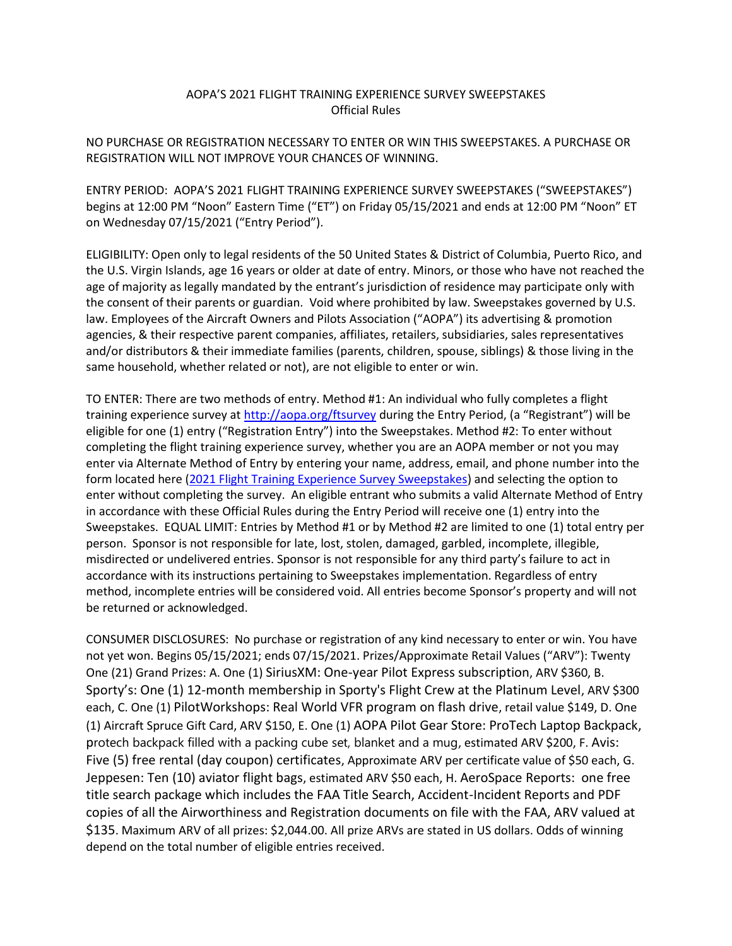## AOPA'S 2021 FLIGHT TRAINING EXPERIENCE SURVEY SWEEPSTAKES Official Rules

NO PURCHASE OR REGISTRATION NECESSARY TO ENTER OR WIN THIS SWEEPSTAKES. A PURCHASE OR REGISTRATION WILL NOT IMPROVE YOUR CHANCES OF WINNING.

ENTRY PERIOD: AOPA'S 2021 FLIGHT TRAINING EXPERIENCE SURVEY SWEEPSTAKES ("SWEEPSTAKES") begins at 12:00 PM "Noon" Eastern Time ("ET") on Friday 05/15/2021 and ends at 12:00 PM "Noon" ET on Wednesday 07/15/2021 ("Entry Period").

ELIGIBILITY: Open only to legal residents of the 50 United States & District of Columbia, Puerto Rico, and the U.S. Virgin Islands, age 16 years or older at date of entry. Minors, or those who have not reached the age of majority as legally mandated by the entrant's jurisdiction of residence may participate only with the consent of their parents or guardian. Void where prohibited by law. Sweepstakes governed by U.S. law. Employees of the Aircraft Owners and Pilots Association ("AOPA") its advertising & promotion agencies, & their respective parent companies, affiliates, retailers, subsidiaries, sales representatives and/or distributors & their immediate families (parents, children, spouse, siblings) & those living in the same household, whether related or not), are not eligible to enter or win.

TO ENTER: There are two methods of entry. Method #1: An individual who fully completes a flight training experience survey at<http://aopa.org/ftsurvey> during the Entry Period, (a "Registrant") will be eligible for one (1) entry ("Registration Entry") into the Sweepstakes. Method #2: To enter without completing the flight training experience survey, whether you are an AOPA member or not you may enter via Alternate Method of Entry by entering your name, address, email, and phone number into the form located here [\(2021 Flight Training Experience Survey Sweepstakes\)](https://forms.office.com/Pages/ResponsePage.aspx?id=-yFBQbrnBECblFFu26pfTFDev6i5-f9PvLzVFoEnMHlUMUFEWlgwWDRPSFhBUkNYWUwyRDhGR1hZTy4u) and selecting the option to enter without completing the survey. An eligible entrant who submits a valid Alternate Method of Entry in accordance with these Official Rules during the Entry Period will receive one (1) entry into the Sweepstakes. EQUAL LIMIT: Entries by Method #1 or by Method #2 are limited to one (1) total entry per person. Sponsor is not responsible for late, lost, stolen, damaged, garbled, incomplete, illegible, misdirected or undelivered entries. Sponsor is not responsible for any third party's failure to act in accordance with its instructions pertaining to Sweepstakes implementation. Regardless of entry method, incomplete entries will be considered void. All entries become Sponsor's property and will not be returned or acknowledged.

CONSUMER DISCLOSURES: No purchase or registration of any kind necessary to enter or win. You have not yet won. Begins 05/15/2021; ends 07/15/2021. Prizes/Approximate Retail Values ("ARV"): Twenty One (21) Grand Prizes: A. One (1) SiriusXM: One-year Pilot Express subscription, ARV \$360, B. Sporty's: One (1) 12-month membership in Sporty's Flight Crew at the Platinum Level, ARV \$300 each, C. One (1) PilotWorkshops: Real World VFR program on flash drive, retail value \$149, D. One (1) Aircraft Spruce Gift Card, ARV \$150, E. One (1) AOPA Pilot Gear Store: ProTech Laptop Backpack, protech backpack filled with a packing cube set, blanket and a mug, estimated ARV \$200, F. Avis: Five (5) free rental (day coupon) certificates, Approximate ARV per certificate value of \$50 each, G. Jeppesen: Ten (10) aviator flight bags, estimated ARV \$50 each, H. AeroSpace Reports: one free title search package which includes the FAA Title Search, Accident-Incident Reports and PDF copies of all the Airworthiness and Registration documents on file with the FAA, ARV valued at \$135. Maximum ARV of all prizes: \$2,044.00. All prize ARVs are stated in US dollars. Odds of winning depend on the total number of eligible entries received.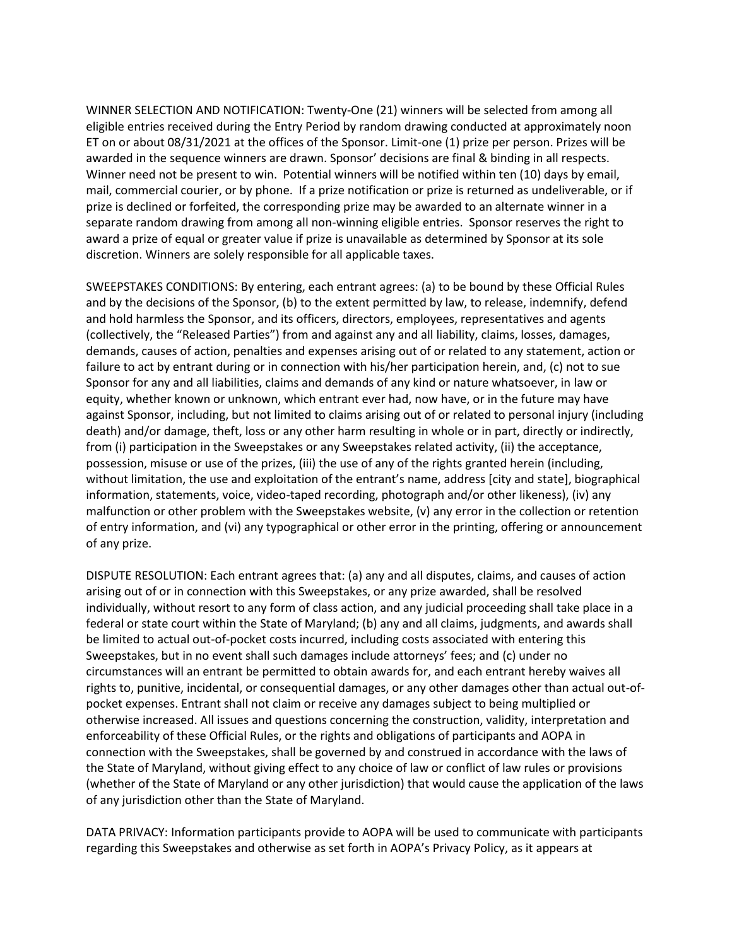WINNER SELECTION AND NOTIFICATION: Twenty-One (21) winners will be selected from among all eligible entries received during the Entry Period by random drawing conducted at approximately noon ET on or about 08/31/2021 at the offices of the Sponsor. Limit-one (1) prize per person. Prizes will be awarded in the sequence winners are drawn. Sponsor' decisions are final & binding in all respects. Winner need not be present to win. Potential winners will be notified within ten (10) days by email, mail, commercial courier, or by phone. If a prize notification or prize is returned as undeliverable, or if prize is declined or forfeited, the corresponding prize may be awarded to an alternate winner in a separate random drawing from among all non-winning eligible entries. Sponsor reserves the right to award a prize of equal or greater value if prize is unavailable as determined by Sponsor at its sole discretion. Winners are solely responsible for all applicable taxes.

SWEEPSTAKES CONDITIONS: By entering, each entrant agrees: (a) to be bound by these Official Rules and by the decisions of the Sponsor, (b) to the extent permitted by law, to release, indemnify, defend and hold harmless the Sponsor, and its officers, directors, employees, representatives and agents (collectively, the "Released Parties") from and against any and all liability, claims, losses, damages, demands, causes of action, penalties and expenses arising out of or related to any statement, action or failure to act by entrant during or in connection with his/her participation herein, and, (c) not to sue Sponsor for any and all liabilities, claims and demands of any kind or nature whatsoever, in law or equity, whether known or unknown, which entrant ever had, now have, or in the future may have against Sponsor, including, but not limited to claims arising out of or related to personal injury (including death) and/or damage, theft, loss or any other harm resulting in whole or in part, directly or indirectly, from (i) participation in the Sweepstakes or any Sweepstakes related activity, (ii) the acceptance, possession, misuse or use of the prizes, (iii) the use of any of the rights granted herein (including, without limitation, the use and exploitation of the entrant's name, address [city and state], biographical information, statements, voice, video-taped recording, photograph and/or other likeness), (iv) any malfunction or other problem with the Sweepstakes website, (v) any error in the collection or retention of entry information, and (vi) any typographical or other error in the printing, offering or announcement of any prize.

DISPUTE RESOLUTION: Each entrant agrees that: (a) any and all disputes, claims, and causes of action arising out of or in connection with this Sweepstakes, or any prize awarded, shall be resolved individually, without resort to any form of class action, and any judicial proceeding shall take place in a federal or state court within the State of Maryland; (b) any and all claims, judgments, and awards shall be limited to actual out-of-pocket costs incurred, including costs associated with entering this Sweepstakes, but in no event shall such damages include attorneys' fees; and (c) under no circumstances will an entrant be permitted to obtain awards for, and each entrant hereby waives all rights to, punitive, incidental, or consequential damages, or any other damages other than actual out-ofpocket expenses. Entrant shall not claim or receive any damages subject to being multiplied or otherwise increased. All issues and questions concerning the construction, validity, interpretation and enforceability of these Official Rules, or the rights and obligations of participants and AOPA in connection with the Sweepstakes, shall be governed by and construed in accordance with the laws of the State of Maryland, without giving effect to any choice of law or conflict of law rules or provisions (whether of the State of Maryland or any other jurisdiction) that would cause the application of the laws of any jurisdiction other than the State of Maryland.

DATA PRIVACY: Information participants provide to AOPA will be used to communicate with participants regarding this Sweepstakes and otherwise as set forth in AOPA's Privacy Policy, as it appears at